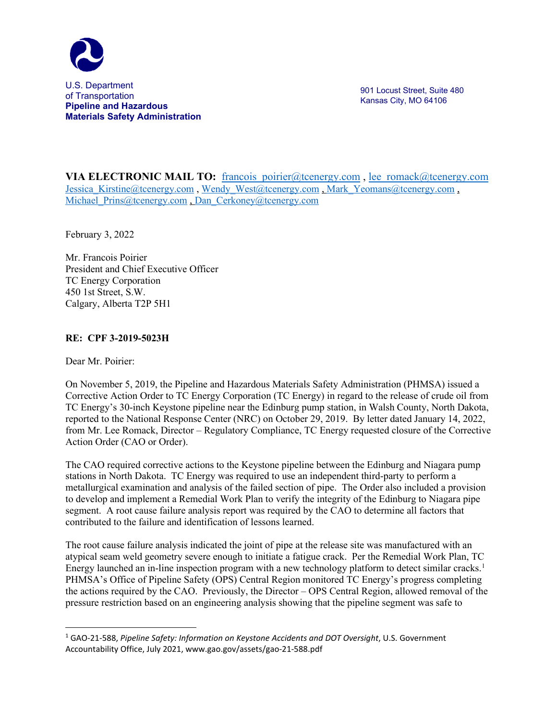

901 Locust Street, Suite 480 Kansas City, MO 64106

**VIA ELECTRONIC MAIL TO:** francois poirier@tcenergy.com , lee romack@tcenergy.com Jessica Kirstine@tcenergy.com , Wendy West@tcenergy.com , Mark Yeomans@tcenergy.com , Michael Prins@tcenergy.com , [Dan\\_Cerkoney@tcenergy.com](mailto:Dan_Cerkoney@tcenergy.com)

February 3, 2022

Mr. Francois Poirier President and Chief Executive Officer TC Energy Corporation 450 1st Street, S.W. Calgary, Alberta T2P 5H1

## **RE: CPF 3-2019-5023H**

Dear Mr. Poirier:

On November 5, 2019, the Pipeline and Hazardous Materials Safety Administration (PHMSA) issued a Corrective Action Order to TC Energy Corporation (TC Energy) in regard to the release of crude oil from TC Energy's 30-inch Keystone pipeline near the Edinburg pump station, in Walsh County, North Dakota, reported to the National Response Center (NRC) on October 29, 2019. By letter dated January 14, 2022, from Mr. Lee Romack, Director – Regulatory Compliance, TC Energy requested closure of the Corrective Action Order (CAO or Order).

The CAO required corrective actions to the Keystone pipeline between the Edinburg and Niagara pump stations in North Dakota. TC Energy was required to use an independent third-party to perform a metallurgical examination and analysis of the failed section of pipe. The Order also included a provision to develop and implement a Remedial Work Plan to verify the integrity of the Edinburg to Niagara pipe segment. A root cause failure analysis report was required by the CAO to determine all factors that contributed to the failure and identification of lessons learned.

The root cause failure analysis indicated the joint of pipe at the release site was manufactured with an atypical seam weld geometry severe enough to initiate a fatigue crack. Per the Remedial Work Plan, TC Energy launched an in-line inspection program with a new technology platform to detect similar cracks.<sup>[1](#page-0-0)</sup> PHMSA's Office of Pipeline Safety (OPS) Central Region monitored TC Energy's progress completing the actions required by the CAO. Previously, the Director – OPS Central Region, allowed removal of the pressure restriction based on an engineering analysis showing that the pipeline segment was safe to

<span id="page-0-0"></span><sup>1</sup> GAO-21-588, *Pipeline Safety: Information on Keystone Accidents and DOT Oversight*, U.S. Government Accountability Office, July 2021, www.gao.gov/assets/gao-21-588.pdf